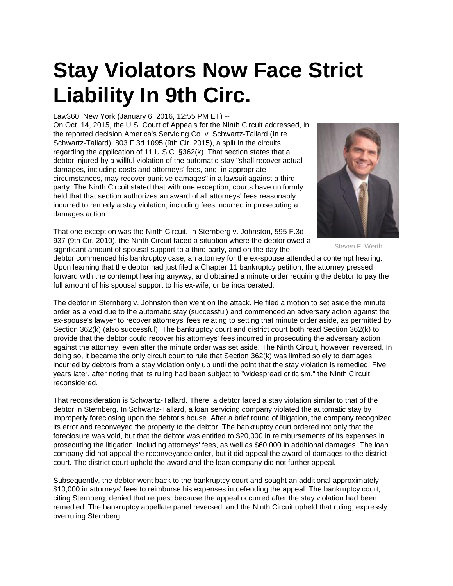## **Stay Violators Now Face Strict Liability In 9th Circ.**

Law360, New York (January 6, 2016, 12:55 PM ET) --

On Oct. 14, 2015, the U.S. Court of Appeals for the Ninth Circuit addressed, in the reported decision America's Servicing Co. v. Schwartz-Tallard (In re Schwartz-Tallard), 803 F.3d 1095 (9th Cir. 2015), a split in the circuits regarding the application of 11 U.S.C. §362(k). That section states that a debtor injured by a willful violation of the automatic stay "shall recover actual damages, including costs and attorneys' fees, and, in appropriate circumstances, may recover punitive damages" in a lawsuit against a third party. The Ninth Circuit stated that with one exception, courts have uniformly held that that section authorizes an award of all attorneys' fees reasonably incurred to remedy a stay violation, including fees incurred in prosecuting a damages action.

That one exception was the Ninth Circuit. In Sternberg v. Johnston, 595 F.3d 937 (9th Cir. 2010), the Ninth Circuit faced a situation where the debtor owed a significant amount of spousal support to a third party, and on the day the



Steven F. Werth

debtor commenced his bankruptcy case, an attorney for the ex-spouse attended a contempt hearing. Upon learning that the debtor had just filed a Chapter 11 bankruptcy petition, the attorney pressed forward with the contempt hearing anyway, and obtained a minute order requiring the debtor to pay the full amount of his spousal support to his ex-wife, or be incarcerated.

The debtor in Sternberg v. Johnston then went on the attack. He filed a motion to set aside the minute order as a void due to the automatic stay (successful) and commenced an adversary action against the ex-spouse's lawyer to recover attorneys' fees relating to setting that minute order aside, as permitted by Section 362(k) (also successful). The bankruptcy court and district court both read Section 362(k) to provide that the debtor could recover his attorneys' fees incurred in prosecuting the adversary action against the attorney, even after the minute order was set aside. The Ninth Circuit, however, reversed. In doing so, it became the only circuit court to rule that Section 362(k) was limited solely to damages incurred by debtors from a stay violation only up until the point that the stay violation is remedied. Five years later, after noting that its ruling had been subject to "widespread criticism," the Ninth Circuit reconsidered.

That reconsideration is Schwartz-Tallard. There, a debtor faced a stay violation similar to that of the debtor in Sternberg. In Schwartz-Tallard, a loan servicing company violated the automatic stay by improperly foreclosing upon the debtor's house. After a brief round of litigation, the company recognized its error and reconveyed the property to the debtor. The bankruptcy court ordered not only that the foreclosure was void, but that the debtor was entitled to \$20,000 in reimbursements of its expenses in prosecuting the litigation, including attorneys' fees, as well as \$60,000 in additional damages. The loan company did not appeal the reconveyance order, but it did appeal the award of damages to the district court. The district court upheld the award and the loan company did not further appeal.

Subsequently, the debtor went back to the bankruptcy court and sought an additional approximately \$10,000 in attorneys' fees to reimburse his expenses in defending the appeal. The bankruptcy court, citing Sternberg, denied that request because the appeal occurred after the stay violation had been remedied. The bankruptcy appellate panel reversed, and the Ninth Circuit upheld that ruling, expressly overruling Sternberg.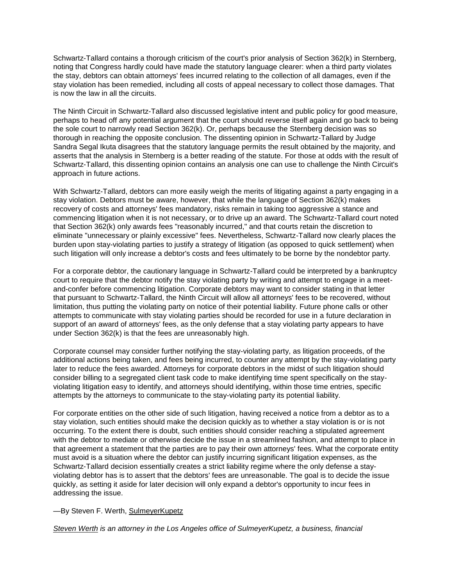Schwartz-Tallard contains a thorough criticism of the court's prior analysis of Section 362(k) in Sternberg, noting that Congress hardly could have made the statutory language clearer: when a third party violates the stay, debtors can obtain attorneys' fees incurred relating to the collection of all damages, even if the stay violation has been remedied, including all costs of appeal necessary to collect those damages. That is now the law in all the circuits.

The Ninth Circuit in Schwartz-Tallard also discussed legislative intent and public policy for good measure, perhaps to head off any potential argument that the court should reverse itself again and go back to being the sole court to narrowly read Section 362(k). Or, perhaps because the Sternberg decision was so thorough in reaching the opposite conclusion. The dissenting opinion in Schwartz-Tallard by Judge Sandra Segal Ikuta disagrees that the statutory language permits the result obtained by the majority, and asserts that the analysis in Sternberg is a better reading of the statute. For those at odds with the result of Schwartz-Tallard, this dissenting opinion contains an analysis one can use to challenge the Ninth Circuit's approach in future actions.

With Schwartz-Tallard, debtors can more easily weigh the merits of litigating against a party engaging in a stay violation. Debtors must be aware, however, that while the language of Section 362(k) makes recovery of costs and attorneys' fees mandatory, risks remain in taking too aggressive a stance and commencing litigation when it is not necessary, or to drive up an award. The Schwartz-Tallard court noted that Section 362(k) only awards fees "reasonably incurred," and that courts retain the discretion to eliminate "unnecessary or plainly excessive" fees. Nevertheless, Schwartz-Tallard now clearly places the burden upon stay-violating parties to justify a strategy of litigation (as opposed to quick settlement) when such litigation will only increase a debtor's costs and fees ultimately to be borne by the nondebtor party.

For a corporate debtor, the cautionary language in Schwartz-Tallard could be interpreted by a bankruptcy court to require that the debtor notify the stay violating party by writing and attempt to engage in a meetand-confer before commencing litigation. Corporate debtors may want to consider stating in that letter that pursuant to Schwartz-Tallard, the Ninth Circuit will allow all attorneys' fees to be recovered, without limitation, thus putting the violating party on notice of their potential liability. Future phone calls or other attempts to communicate with stay violating parties should be recorded for use in a future declaration in support of an award of attorneys' fees, as the only defense that a stay violating party appears to have under Section 362(k) is that the fees are unreasonably high.

Corporate counsel may consider further notifying the stay-violating party, as litigation proceeds, of the additional actions being taken, and fees being incurred, to counter any attempt by the stay-violating party later to reduce the fees awarded. Attorneys for corporate debtors in the midst of such litigation should consider billing to a segregated client task code to make identifying time spent specifically on the stayviolating litigation easy to identify, and attorneys should identifying, within those time entries, specific attempts by the attorneys to communicate to the stay-violating party its potential liability.

For corporate entities on the other side of such litigation, having received a notice from a debtor as to a stay violation, such entities should make the decision quickly as to whether a stay violation is or is not occurring. To the extent there is doubt, such entities should consider reaching a stipulated agreement with the debtor to mediate or otherwise decide the issue in a streamlined fashion, and attempt to place in that agreement a statement that the parties are to pay their own attorneys' fees. What the corporate entity must avoid is a situation where the debtor can justify incurring significant litigation expenses, as the Schwartz-Tallard decision essentially creates a strict liability regime where the only defense a stayviolating debtor has is to assert that the debtors' fees are unreasonable. The goal is to decide the issue quickly, as setting it aside for later decision will only expand a debtor's opportunity to incur fees in addressing the issue.

## -By Steven F. Werth, [SulmeyerKupetz](http://www.law360.com/firm/sulmeyerkupetz)

*[Steven Werth](http://sulmeyerlaw.com/professionals/steven-f-werth/) is an attorney in the Los Angeles office of SulmeyerKupetz, a business, financial*